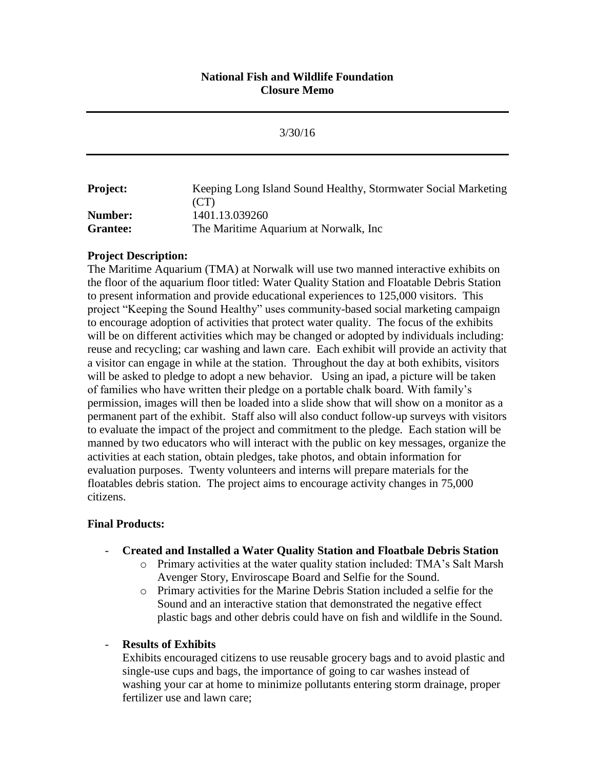# **National Fish and Wildlife Foundation Closure Memo**

|                 | 3/30/16                                                        |
|-----------------|----------------------------------------------------------------|
| <b>Project:</b> | Keeping Long Island Sound Healthy, Stormwater Social Marketing |
|                 | (CT)                                                           |
| Number:         | 1401.13.039260                                                 |
| <b>Grantee:</b> | The Maritime Aquarium at Norwalk, Inc.                         |

## **Project Description:**

The Maritime Aquarium (TMA) at Norwalk will use two manned interactive exhibits on the floor of the aquarium floor titled: Water Quality Station and Floatable Debris Station to present information and provide educational experiences to 125,000 visitors. This project "Keeping the Sound Healthy" uses community-based social marketing campaign to encourage adoption of activities that protect water quality. The focus of the exhibits will be on different activities which may be changed or adopted by individuals including: reuse and recycling; car washing and lawn care. Each exhibit will provide an activity that a visitor can engage in while at the station. Throughout the day at both exhibits, visitors will be asked to pledge to adopt a new behavior. Using an ipad, a picture will be taken of families who have written their pledge on a portable chalk board. With family's permission, images will then be loaded into a slide show that will show on a monitor as a permanent part of the exhibit. Staff also will also conduct follow-up surveys with visitors to evaluate the impact of the project and commitment to the pledge. Each station will be manned by two educators who will interact with the public on key messages, organize the activities at each station, obtain pledges, take photos, and obtain information for evaluation purposes. Twenty volunteers and interns will prepare materials for the floatables debris station. The project aims to encourage activity changes in 75,000 citizens.

## **Final Products:**

## - **Created and Installed a Water Quality Station and Floatbale Debris Station**

- o Primary activities at the water quality station included: TMA's Salt Marsh Avenger Story, Enviroscape Board and Selfie for the Sound.
- o Primary activities for the Marine Debris Station included a selfie for the Sound and an interactive station that demonstrated the negative effect plastic bags and other debris could have on fish and wildlife in the Sound.

## - **Results of Exhibits**

Exhibits encouraged citizens to use reusable grocery bags and to avoid plastic and single-use cups and bags, the importance of going to car washes instead of washing your car at home to minimize pollutants entering storm drainage, proper fertilizer use and lawn care;